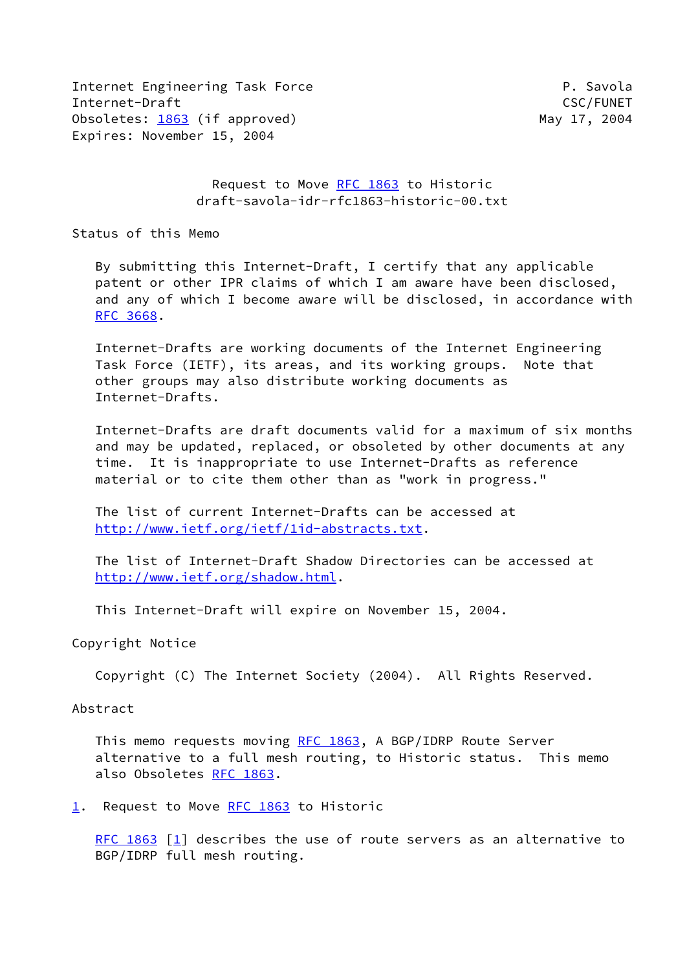Internet Engineering Task Force **P. Savola** Internet-Draft CSC/FUNET Obsoletes: [1863](https://datatracker.ietf.org/doc/pdf/rfc1863) (if approved) May 17, 2004 Expires: November 15, 2004

# Request to Move [RFC 1863](https://datatracker.ietf.org/doc/pdf/rfc1863) to Historic draft-savola-idr-rfc1863-historic-00.txt

Status of this Memo

 By submitting this Internet-Draft, I certify that any applicable patent or other IPR claims of which I am aware have been disclosed, and any of which I become aware will be disclosed, in accordance with [RFC 3668](https://datatracker.ietf.org/doc/pdf/rfc3668).

 Internet-Drafts are working documents of the Internet Engineering Task Force (IETF), its areas, and its working groups. Note that other groups may also distribute working documents as Internet-Drafts.

 Internet-Drafts are draft documents valid for a maximum of six months and may be updated, replaced, or obsoleted by other documents at any time. It is inappropriate to use Internet-Drafts as reference material or to cite them other than as "work in progress."

 The list of current Internet-Drafts can be accessed at <http://www.ietf.org/ietf/1id-abstracts.txt>.

 The list of Internet-Draft Shadow Directories can be accessed at <http://www.ietf.org/shadow.html>.

This Internet-Draft will expire on November 15, 2004.

#### Copyright Notice

Copyright (C) The Internet Society (2004). All Rights Reserved.

### Abstract

 This memo requests moving [RFC 1863](https://datatracker.ietf.org/doc/pdf/rfc1863), A BGP/IDRP Route Server alternative to a full mesh routing, to Historic status. This memo also Obsoletes [RFC 1863.](https://datatracker.ietf.org/doc/pdf/rfc1863)

<span id="page-0-0"></span>[1](#page-0-0). Request to Move [RFC 1863](https://datatracker.ietf.org/doc/pdf/rfc1863) to Historic

[RFC 1863](https://datatracker.ietf.org/doc/pdf/rfc1863) [\[1\]](#page-1-0) describes the use of route servers as an alternative to BGP/IDRP full mesh routing.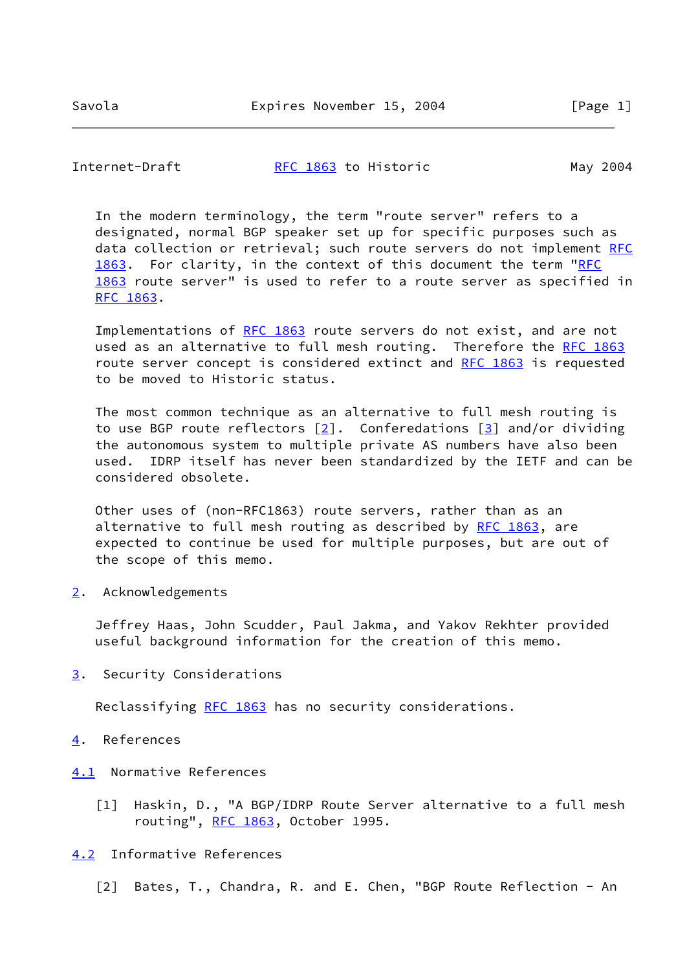Internet-Draft **RFC 1863** to Historic May 2004

 In the modern terminology, the term "route server" refers to a designated, normal BGP speaker set up for specific purposes such as data collection or retrieval; such route servers do not implement [RFC](https://datatracker.ietf.org/doc/pdf/rfc1863) [1863](https://datatracker.ietf.org/doc/pdf/rfc1863). For clarity, in the context of this document the term ["RFC](https://datatracker.ietf.org/doc/pdf/rfc1863) [1863](https://datatracker.ietf.org/doc/pdf/rfc1863) route server" is used to refer to a route server as specified in [RFC 1863](https://datatracker.ietf.org/doc/pdf/rfc1863).

Implementations of [RFC 1863](https://datatracker.ietf.org/doc/pdf/rfc1863) route servers do not exist, and are not used as an alternative to full mesh routing. Therefore the [RFC 1863](https://datatracker.ietf.org/doc/pdf/rfc1863) route server concept is considered extinct and [RFC 1863](https://datatracker.ietf.org/doc/pdf/rfc1863) is requested to be moved to Historic status.

 The most common technique as an alternative to full mesh routing is to use BGP route reflectors  $[2]$  $[2]$ . Conferedations  $[3]$  and/or dividing the autonomous system to multiple private AS numbers have also been used. IDRP itself has never been standardized by the IETF and can be considered obsolete.

 Other uses of (non-RFC1863) route servers, rather than as an alternative to full mesh routing as described by [RFC 1863](https://datatracker.ietf.org/doc/pdf/rfc1863), are expected to continue be used for multiple purposes, but are out of the scope of this memo.

<span id="page-1-2"></span>[2](#page-1-2). Acknowledgements

 Jeffrey Haas, John Scudder, Paul Jakma, and Yakov Rekhter provided useful background information for the creation of this memo.

<span id="page-1-3"></span>[3](#page-1-3). Security Considerations

Reclassifying [RFC 1863](https://datatracker.ietf.org/doc/pdf/rfc1863) has no security considerations.

- <span id="page-1-4"></span>[4](#page-1-4). References
- <span id="page-1-5"></span><span id="page-1-0"></span>[4.1](#page-1-5) Normative References
	- [1] Haskin, D., "A BGP/IDRP Route Server alternative to a full mesh routing", [RFC 1863,](https://datatracker.ietf.org/doc/pdf/rfc1863) October 1995.
- <span id="page-1-6"></span><span id="page-1-1"></span>[4.2](#page-1-6) Informative References
	- [2] Bates, T., Chandra, R. and E. Chen, "BGP Route Reflection An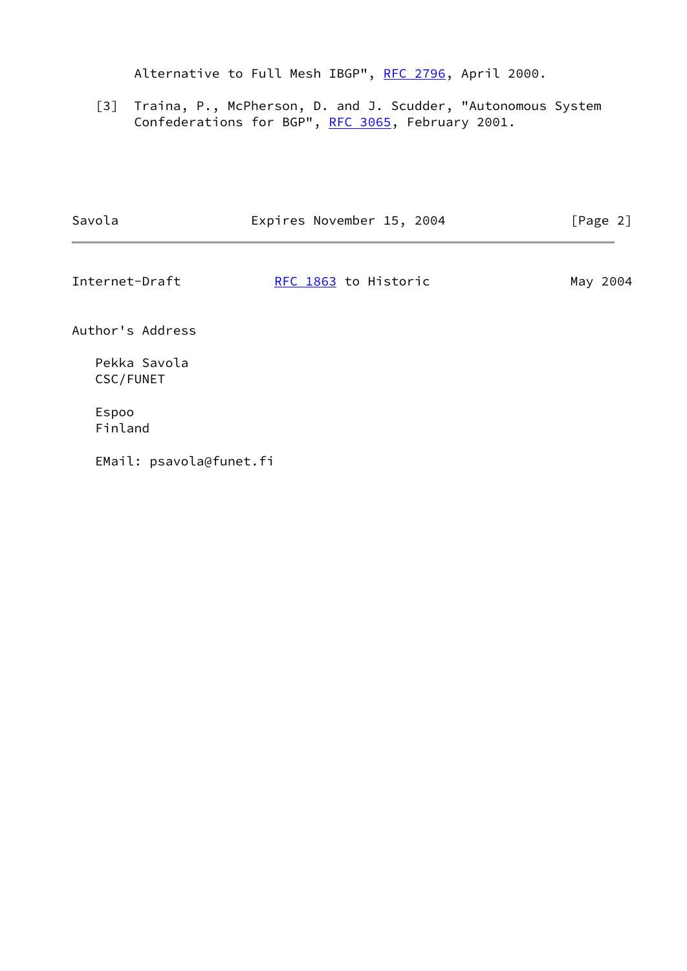Alternative to Full Mesh IBGP", [RFC 2796](https://datatracker.ietf.org/doc/pdf/rfc2796), April 2000.

<span id="page-2-0"></span> [3] Traina, P., McPherson, D. and J. Scudder, "Autonomous System Confederations for BGP", [RFC 3065](https://datatracker.ietf.org/doc/pdf/rfc3065), February 2001.

| Savola                    | Expires November 15, 2004 | [Page 2] |
|---------------------------|---------------------------|----------|
| Internet-Draft            | RFC 1863 to Historic      | May 2004 |
| Author's Address          |                           |          |
| Pekka Savola<br>CSC/FUNET |                           |          |
| Espoo<br>Finland          |                           |          |
| EMail: psavola@funet.fi   |                           |          |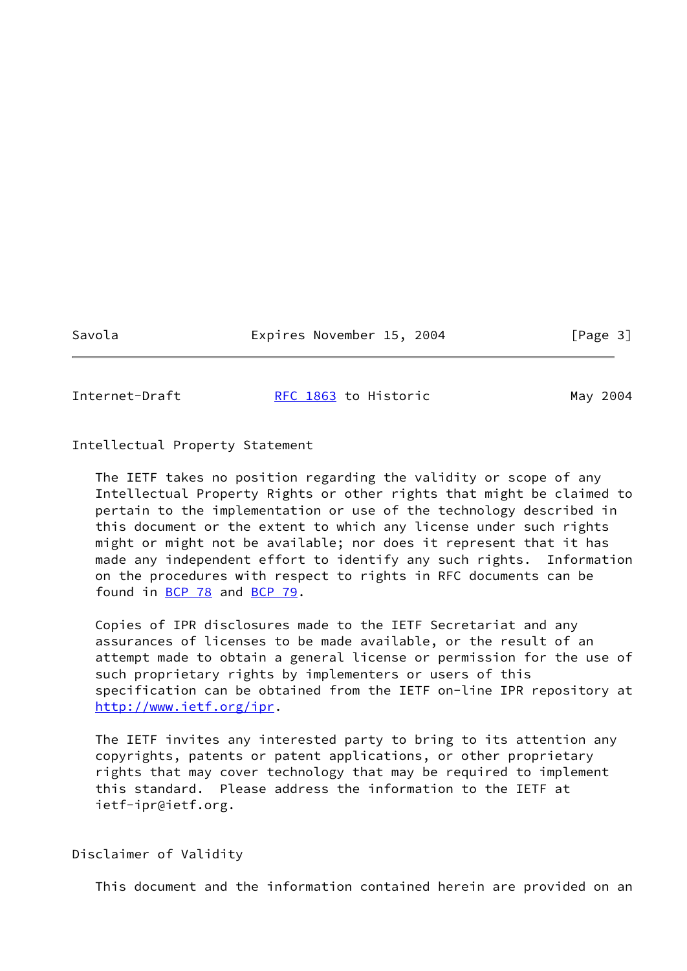Savola Expires November 15, 2004 [Page 3]

Internet-Draft [RFC 1863](https://datatracker.ietf.org/doc/pdf/rfc1863) to Historic May 2004

Intellectual Property Statement

 The IETF takes no position regarding the validity or scope of any Intellectual Property Rights or other rights that might be claimed to pertain to the implementation or use of the technology described in this document or the extent to which any license under such rights might or might not be available; nor does it represent that it has made any independent effort to identify any such rights. Information on the procedures with respect to rights in RFC documents can be found in [BCP 78](https://datatracker.ietf.org/doc/pdf/bcp78) and [BCP 79](https://datatracker.ietf.org/doc/pdf/bcp79).

 Copies of IPR disclosures made to the IETF Secretariat and any assurances of licenses to be made available, or the result of an attempt made to obtain a general license or permission for the use of such proprietary rights by implementers or users of this specification can be obtained from the IETF on-line IPR repository at <http://www.ietf.org/ipr>.

 The IETF invites any interested party to bring to its attention any copyrights, patents or patent applications, or other proprietary rights that may cover technology that may be required to implement this standard. Please address the information to the IETF at ietf-ipr@ietf.org.

Disclaimer of Validity

This document and the information contained herein are provided on an